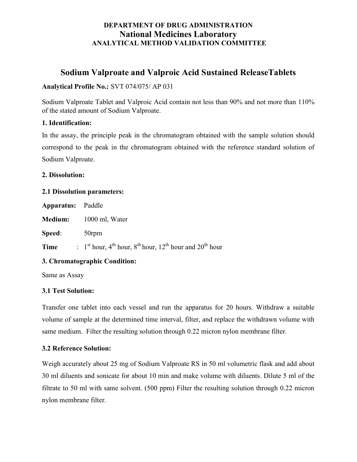# DEPARTMENT OF DRUG ADMINISTRATION National Medicines Laboratory ANALYTICAL METHOD VALIDATION COMMITTEE

# Sodium Valproate and Valproic Acid Sustained ReleaseTablets

### Analytical Profile No.: SVT 074/075/ AP 031

Sodium Valproate Tablet and Valproic Acid contain not less than 90% and not more than 110% of the stated amount of Sodium Valproate.

### 1. Identification:

In the assay, the principle peak in the chromatogram obtained with the sample solution should correspond to the peak in the chromatogram obtained with the reference standard solution of Sodium Valproate.

### 2. Dissolution:

### 2.1 Dissolution parameters:

| <b>Apparatus:</b> Paddle |                                                                                                           |
|--------------------------|-----------------------------------------------------------------------------------------------------------|
|                          | <b>Medium:</b> 1000 ml, Water                                                                             |
| Speed:                   | 50 <sub>rpm</sub>                                                                                         |
| Time                     | : $1st$ hour, 4 <sup>th</sup> hour, 8 <sup>th</sup> hour, 12 <sup>th</sup> hour and 20 <sup>th</sup> hour |

### 3. Chromatographic Condition:

Same as Assay

### 3.1 Test Solution:

Transfer one tablet into each vessel and run the apparatus for 20 hours. Withdraw a suitable volume of sample at the determined time interval, filter, and replace the withdrawn volume with same medium. Filter the resulting solution through 0.22 micron nylon membrane filter.

### 3.2 Reference Solution:

Weigh accurately about 25 mg of Sodium Valproate RS in 50 ml volumetric flask and add about 30 ml diluents and sonicate for about 10 min and make volume with diluents. Dilute 5 ml of the filtrate to 50 ml with same solvent. (500 ppm) Filter the resulting solution through 0.22 micron nylon membrane filter.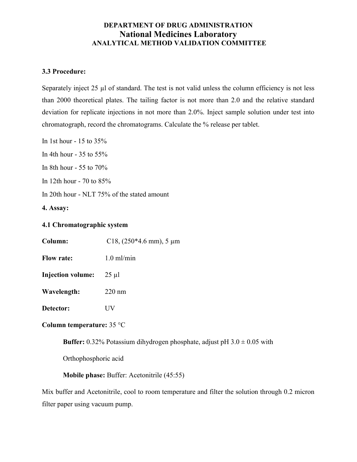# DEPARTMENT OF DRUG ADMINISTRATION National Medicines Laboratory ANALYTICAL METHOD VALIDATION COMMITTEE

### 3.3 Procedure:

Separately inject 25 µl of standard. The test is not valid unless the column efficiency is not less than 2000 theoretical plates. The tailing factor is not more than 2.0 and the relative standard deviation for replicate injections in not more than 2.0%. Inject sample solution under test into chromatograph, record the chromatograms. Calculate the % release per tablet.

In 1st hour - 15 to 35%

In 4th hour - 35 to 55%

In 8th hour - 55 to 70%

In 12th hour - 70 to 85%

In 20th hour - NLT 75% of the stated amount

4. Assay:

### 4.1 Chromatographic system

Column: C18, (250<sup>\*</sup>4.6 mm), 5 μm

Flow rate: 1.0 ml/min

Injection volume: 25 µl

Wavelength: 220 nm

Detector: UV

### Column temperature: 35 °C

**Buffer:** 0.32% Potassium dihydrogen phosphate, adjust pH  $3.0 \pm 0.05$  with

Orthophosphoric acid

Mobile phase: Buffer: Acetonitrile (45:55)

Mix buffer and Acetonitrile, cool to room temperature and filter the solution through 0.2 micron filter paper using vacuum pump.